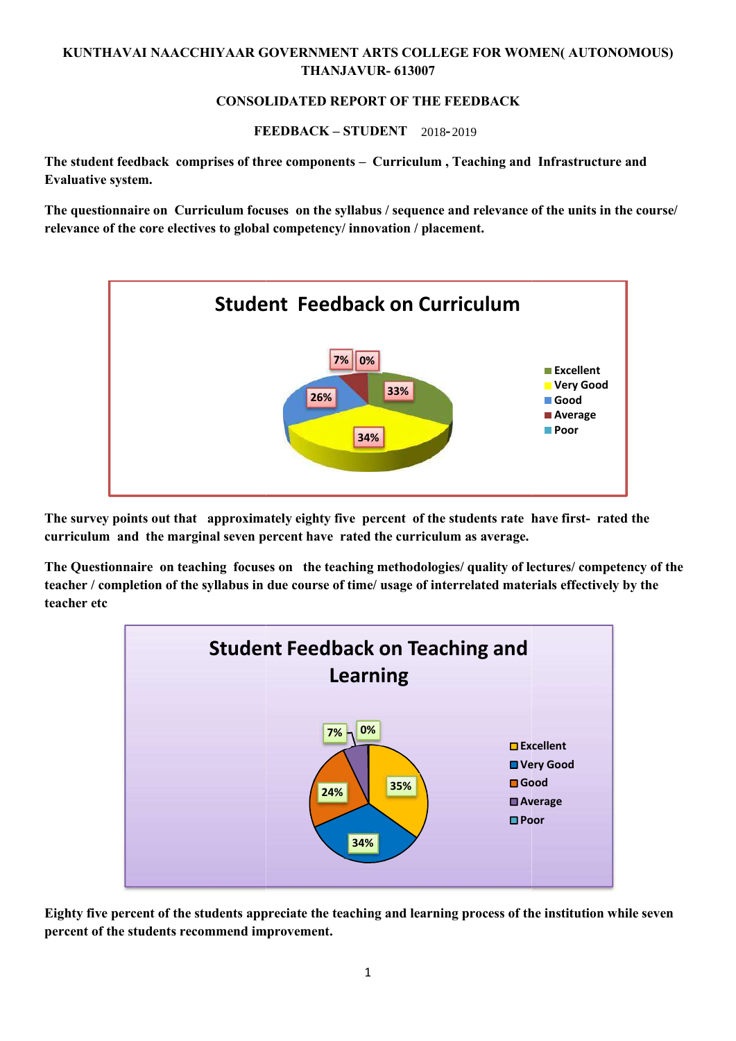## **KUNTHAVAI NAACCHIYAAR GOVERNMENT ARTS COLLEGE FOR WOMEN( AUTONOMOUS) THANJAVUR- 613007**

# **CONSOLIDATED REPORT OF THE FEEDBACK<br>
FEEDBACK – STUDENT**--2018-2019

**FEEDBACK – STUDENT ( 2017-2018)** 2018 2019

**The student feedback comprises of three components – Curriculum , Teaching and Infrastructure and Evaluative system.**

The questionnaire on Curriculum focuses on the syllabus / sequence and relevance of the units in the course/ **relevance of the core electives to global competency/ innovation / placement.**



**The survey points out that approximately eighty five percent of the students rate have first- rated the curriculum and the marginal seven percent have rated the curriculum as average.**

**The Questionnaire on teaching focuses on the teaching methodologies/ quality of lectures/ competency of the teacher / completion of the syllabus in due course of time/ usage of interrelated materials effectively by the teacher etc**



**Eighty five percent of the students appreciate the teaching and learning process of the institution while seven percent of the students recommend improvement.**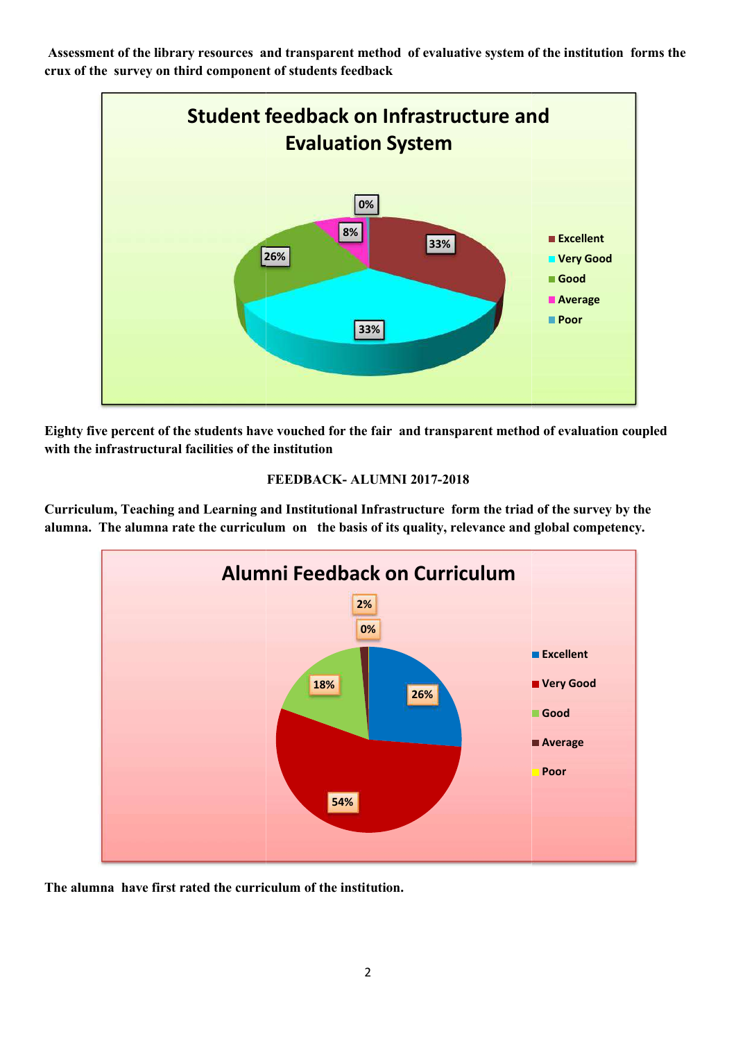**Assessment of the library resources and transparent method of evaluative system of the institution forms the crux of the survey on third component of students feedback**



**Eighty five percent of the students have vouched for the fair and transparent method of evaluation coupled with the infrastructural facilities of the institution**

## **FEEDBACK- ALUMNI 2017-2018**

**Curriculum, Teaching and Learning and Institutional Infrastructure form the triad of the survey by the alumna. The alumna rate the curriculum on the basis of its quality, relevance and global competency.**



**The alumna have first rated the curriculum of the institution.**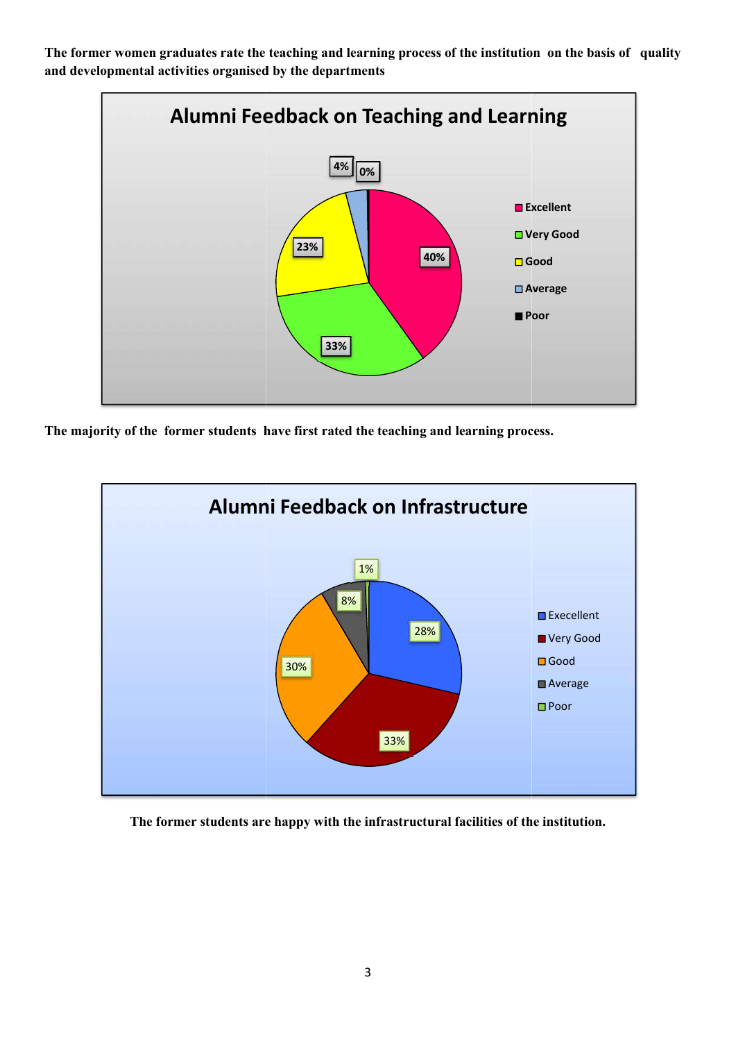**The former women graduates rate the teaching and learning process of the institution on the basis of quality and developmental activities organised by the departments**



**The majority of the former students have first rated the teaching and learning process.**



**The former students are happy with the infrastructural facilities of the institution.**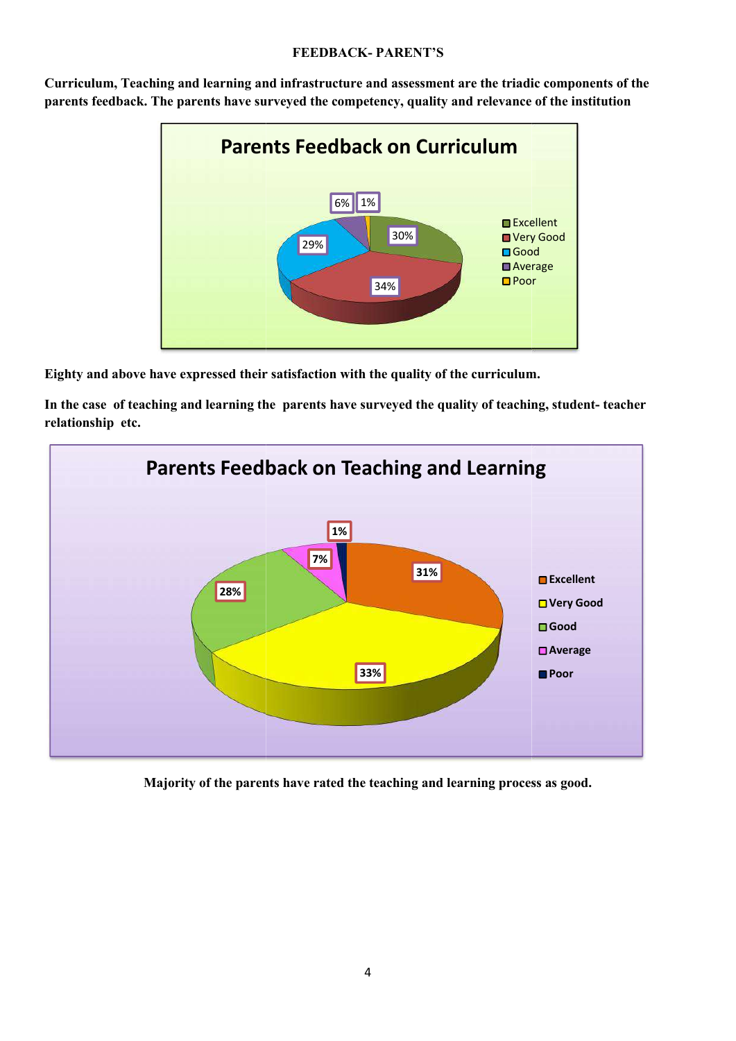### **FEEDBACK- PARENT'S**



**Curriculum, Teaching and learning and infrastructure and assessment are the triadic components of the parents feedback. The parents have surveyed the competency, quality and relevance of the institution**

**Eighty and above have expressed their satisfaction with the quality of the curriculum.**

**In the case of teaching and learning the parents have surveyed the quality of teaching, student- teacher relationship etc.**



**Majority of the parents have rated the teaching and learning process as good.**